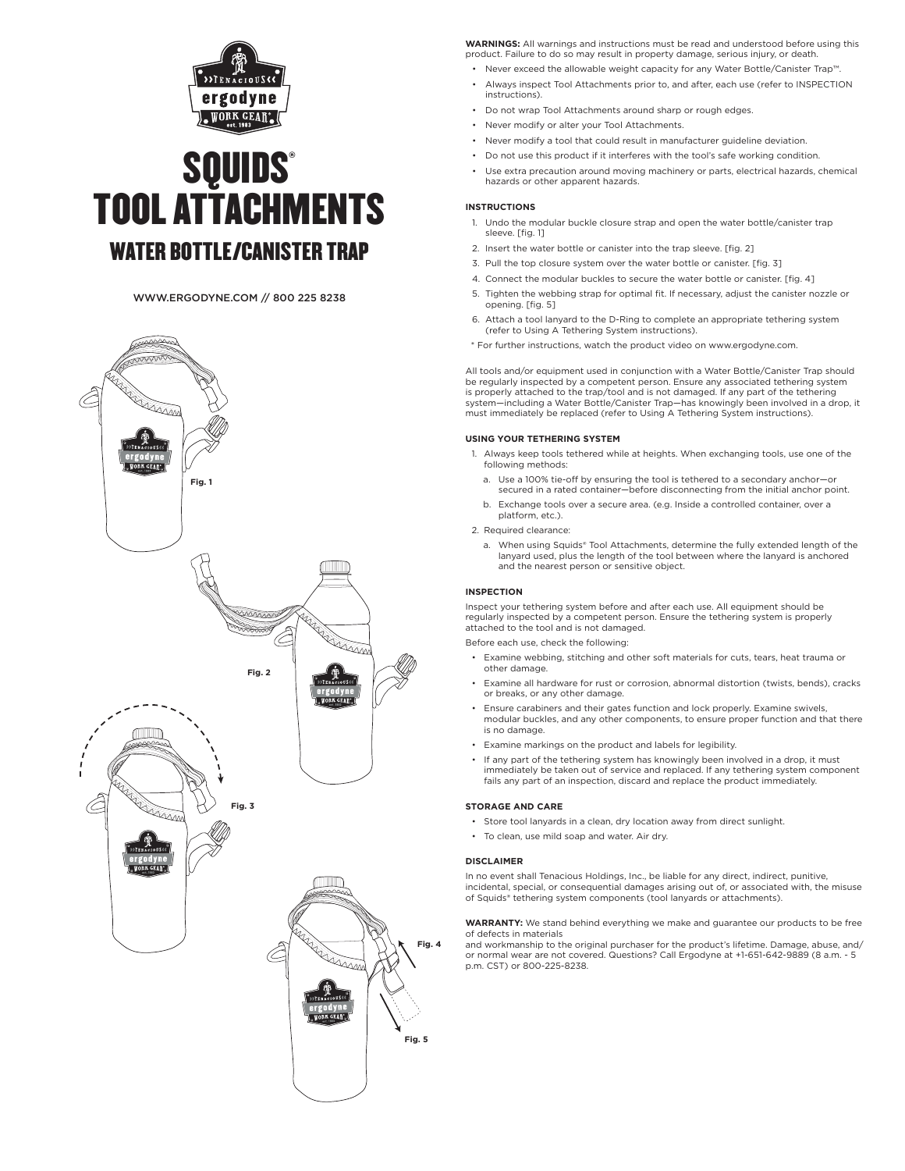

# **SQUIDS®** TOOL ATTACHMENTS WATER BOTTLE/CANISTER TRAP

# WWW.ERGODYNE.COM // 800 225 8238



**WARNINGS:** All warnings and instructions must be read and understood before using this product. Failure to do so may result in property damage, serious injury, or death

- Never exceed the allowable weight capacity for any Water Bottle/Canister Trap™.
- Always inspect Tool Attachments prior to, and after, each use (refer to INSPECTION instructions).
- Do not wrap Tool Attachments around sharp or rough edges.
- Never modify or alter your Tool Attachments.
- Never modify a tool that could result in manufacturer guideline deviation.
- Do not use this product if it interferes with the tool's safe working condition.
- Use extra precaution around moving machinery or parts, electrical hazards, chemical hazards or other apparent hazards.

# **INSTRUCTIONS**

- 1. Undo the modular buckle closure strap and open the water bottle/canister trap sleeve. [fig. 1]
- 2. Insert the water bottle or canister into the trap sleeve. [fig. 2]
- 3. Pull the top closure system over the water bottle or canister. [fig. 3]
- 4. Connect the modular buckles to secure the water bottle or canister. [fig. 4]
- 5. Tighten the webbing strap for optimal fit. If necessary, adjust the canister nozzle or opening. [fig. 5]
- 6. Attach a tool lanyard to the D-Ring to complete an appropriate tethering system (refer to Using A Tethering System instructions).
- \* For further instructions, watch the product video on www.ergodyne.com.

All tools and/or equipment used in conjunction with a Water Bottle/Canister Trap should be regularly inspected by a competent person. Ensure any associated tethering system is properly attached to the trap/tool and is not damaged. If any part of the tethering system—including a Water Bottle/Canister Trap—has knowingly been involved in a drop, it must immediately be replaced (refer to Using A Tethering System instructions).

# **USING YOUR TETHERING SYSTEM**

- 1. Always keep tools tethered while at heights. When exchanging tools, use one of the following methods:
	- a. Use a 100% tie-off by ensuring the tool is tethered to a secondary anchor—or secured in a rated container—before disconnecting from the initial anchor point.
	- b. Exchange tools over a secure area. (e.g. Inside a controlled container, over a platform, etc.).

# 2. Required clearance:

a. When using Squids® Tool Attachments, determine the fully extended length of the lanyard used, plus the length of the tool between where the lanyard is anchored and the nearest person or sensitive object.

# **INSPECTION**

Inspect your tethering system before and after each use. All equipment should be regularly inspected by a competent person. Ensure the tethering system is properly attached to the tool and is not damaged.

Before each use, check the following:

- Examine webbing, stitching and other soft materials for cuts, tears, heat trauma or other damage.
- Examine all hardware for rust or corrosion, abnormal distortion (twists, bends), cracks or breaks, or any other damage.
- Ensure carabiners and their gates function and lock properly. Examine swivels, modular buckles, and any other components, to ensure proper function and that there is no damage.
- Examine markings on the product and labels for legibility.
- If any part of the tethering system has knowingly been involved in a drop, it must immediately be taken out of service and replaced. If any tethering system component fails any part of an inspection, discard and replace the product immediately.

## **STORAGE AND CARE**

- Store tool lanyards in a clean, dry location away from direct sunlight.
- To clean, use mild soap and water. Air dry.

## **DISCLAIMER**

In no event shall Tenacious Holdings, Inc., be liable for any direct, indirect, punitive, incidental, special, or consequential damages arising out of, or associated with, the misuse of Squids® tethering system components (tool lanyards or attachments).

**WARRANTY:** We stand behind everything we make and guarantee our products to be free of defects in materials

and workmanship to the original purchaser for the product's lifetime. Damage, abuse, and/ or normal wear are not covered. Questions? Call Ergodyne at +1-651-642-9889 (8 a.m. - 5 p.m. CST) or 800-225-8238.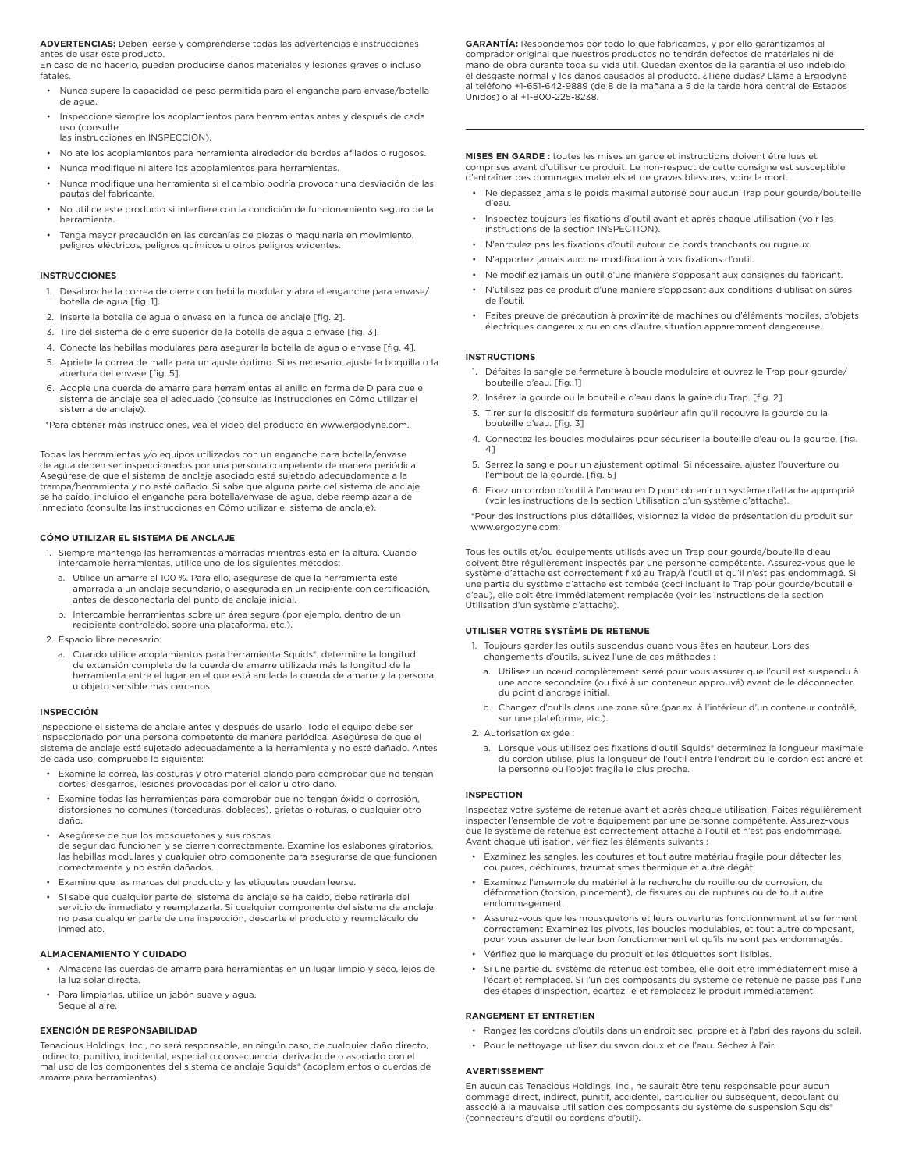**ADVERTENCIAS:** Deben leerse y comprenderse todas las advertencias e instrucciones antes de usar este producto.

En caso de no hacerlo, pueden producirse daños materiales y lesiones graves o incluso fatales.

- Nunca supere la capacidad de peso permitida para el enganche para envase/botella de agua.
- Inspeccione siempre los acoplamientos para herramientas antes y después de cada uso (consulte las instrucciones en INSPECCIÓN).
- No ate los acoplamientos para herramienta alrededor de bordes afilados o rugosos.
- Nunca modifique ni altere los acoplamientos para herramientas.
- Nunca modifique una herramienta si el cambio podría provocar una desviación de las pautas del fabricante.
- No utilice este producto si interfiere con la condición de funcionamiento seguro de la herramienta.
- Tenga mayor precaución en las cercanías de piezas o maquinaria en movimiento, peligros eléctricos, peligros químicos u otros peligros evidentes.

## **INSTRUCCIONES**

- 1. Desabroche la correa de cierre con hebilla modular y abra el enganche para envase/ botella de agua [fig. 1].
- 2. Inserte la botella de agua o envase en la funda de anclaje [fig. 2].
- 3. Tire del sistema de cierre superior de la botella de agua o envase [fig. 3].
- 4. Conecte las hebillas modulares para asegurar la botella de agua o envase [fig. 4].
- 5. Apriete la correa de malla para un ajuste óptimo. Si es necesario, ajuste la boquilla o la abertura del envase [fig. 5].
- 6. Acople una cuerda de amarre para herramientas al anillo en forma de D para que el sistema de anclaje sea el adecuado (consulte las instrucciones en Cómo utilizar el sistema de anclaje).

\*Para obtener más instrucciones, vea el vídeo del producto en www.ergodyne.com.

Todas las herramientas y/o equipos utilizados con un enganche para botella/envase de agua deben ser inspeccionados por una persona competente de manera periódica. Asegúrese de que el sistema de anclaje asociado esté sujetado adecuadamente a la trampa/herramienta y no esté dañado. Si sabe que alguna parte del sistema de anclaje se ha caído, incluido el enganche para botella/envase de agua, debe reemplazarla de inmediato (consulte las instrucciones en Cómo utilizar el sistema de anclaje).

## **CÓMO UTILIZAR EL SISTEMA DE ANCLAJE**

- 1. Siempre mantenga las herramientas amarradas mientras está en la altura. Cuando intercambie herramientas, utilice uno de los siguientes métodos:
	- a. Utilice un amarre al 100 %. Para ello, asegúrese de que la herramienta esté amarrada a un anclaje secundario, o asegurada en un recipiente con certificación, antes de desconectarla del punto de anclaje inicial.
	- b. Intercambie herramientas sobre un área segura (por ejemplo, dentro de un recipiente controlado, sobre una plataforma, etc.).
- 2. Espacio libre necesario:
	- a. Cuando utilice acoplamientos para herramienta Squids®, determine la longitud de extensión completa de la cuerda de amarre utilizada más la longitud de la herramienta entre el lugar en el que está anclada la cuerda de amarre y la persona u objeto sensible más cercanos.

#### **INSPECCIÓN**

Inspeccione el sistema de anclaje antes y después de usarlo. Todo el equipo debe ser inspeccionado por una persona competente de manera periódica. Asegúrese de que el sistema de anclaje esté sujetado adecuadamente a la herramienta y no esté dañado. Antes de cada uso, compruebe lo siguiente:

- Examine la correa, las costuras y otro material blando para comprobar que no tengan cortes, desgarros, lesiones provocadas por el calor u otro daño.
- Examine todas las herramientas para comprobar que no tengan óxido o corrosión, distorsiones no comunes (torceduras, dobleces), grietas o roturas, o cualquier otro daño.
- Asegúrese de que los mosquetones y sus roscas de seguridad funcionen y se cierren correctamente. Examine los eslabones giratorios, las hebillas modulares y cualquier otro componente para asegurarse de que funcionen correctamente y no estén dañados.
- Examine que las marcas del producto y las etiquetas puedan leerse.
- Si sabe que cualquier parte del sistema de anclaje se ha caído, debe retirarla del servicio de inmediato y reemplazarla. Si cualquier componente del sistema de anclaje no pasa cualquier parte de una inspección, descarte el producto y reemplácelo de inmediato.

## **ALMACENAMIENTO Y CUIDADO**

- Almacene las cuerdas de amarre para herramientas en un lugar limpio y seco, lejos de la luz solar directa.
- Para limpiarlas, utilice un jabón suave y agua. Seque al aire.

## **EXENCIÓN DE RESPONSABILIDAD**

Tenacious Holdings, Inc., no será responsable, en ningún caso, de cualquier daño directo, indirecto, punitivo, incidental, especial o consecuencial derivado de o asociado con el mal uso de los componentes del sistema de anclaje Squids® (acoplamientos o cuerdas de amarre para herramientas).

**GARANTÍA:** Respondemos por todo lo que fabricamos, y por ello garantizamos al comprador original que nuestros productos no tendrán defectos de materiales ni de mano de obra durante toda su vida útil. Quedan exentos de la garantía el uso indebido, el desgaste normal y los daños causados al producto. ¿Tiene dudas? Llame a Ergodyne al teléfono +1-651-642-9889 (de 8 de la mañana a 5 de la tarde hora central de Estados Unidos) o al +1-800-225-8238.

**MISES EN GARDE :** toutes les mises en garde et instructions doivent être lues et comprises avant d'utiliser ce produit. Le non-respect de cette consigne est susceptible d'entraîner des dommages matériels et de graves blessures, voire la mort.

- Ne dépassez jamais le poids maximal autorisé pour aucun Trap pour gourde/bouteille d'eau.
- Inspectez toujours les fixations d'outil avant et après chaque utilisation (voir les instructions de la section INSPECTION).
- N'enroulez pas les fixations d'outil autour de bords tranchants ou rugueux.
- N'apportez jamais aucune modification à vos fixations d'outil.
- Ne modifiez jamais un outil d'une manière s'opposant aux consignes du fabricant.
- N'utilisez pas ce produit d'une manière s'opposant aux conditions d'utilisation sûres de l'outil.
- Faites preuve de précaution à proximité de machines ou d'éléments mobiles, d'objets électriques dangereux ou en cas d'autre situation apparemment dangereuse.

## **INSTRUCTIONS**

- 1. Défaites la sangle de fermeture à boucle modulaire et ouvrez le Trap pour gourde/ bouteille d'eau. [fig. 1]
- 2. Insérez la gourde ou la bouteille d'eau dans la gaine du Trap. [fig. 2]
- 3. Tirer sur le dispositif de fermeture supérieur afin qu'il recouvre la gourde ou la bouteille d'eau. [fig. 3]
- 4. Connectez les boucles modulaires pour sécuriser la bouteille d'eau ou la gourde. [fig. 4]
- 5. Serrez la sangle pour un ajustement optimal. Si nécessaire, ajustez l'ouverture ou l'embout de la gourde. [fig. 5]
- 6. Fixez un cordon d'outil à l'anneau en D pour obtenir un système d'attache approprié (voir les instructions de la section Utilisation d'un système d'attache).

\*Pour des instructions plus détaillées, visionnez la vidéo de présentation du produit sur www.ergodyne.com.

Tous les outils et/ou équipements utilisés avec un Trap pour gourde/bouteille d'eau doivent être régulièrement inspectés par une personne compétente. Assurez-vous que le système d'attache est correctement fixé au Trap/à l'outil et qu'il n'est pas endommagé. Si une partie du système d'attache est tombée (ceci incluant le Trap pour gourde/bouteille d'eau), elle doit être immédiatement remplacée (voir les instructions de la section Utilisation d'un système d'attache).

#### **UTILISER VOTRE SYSTÈME DE RETENUE**

- 1. Toujours garder les outils suspendus quand vous êtes en hauteur. Lors des changements d'outils, suivez l'une de ces méthodes :
	- a. Utilisez un nœud complètement serré pour vous assurer que l'outil est suspendu à une ancre secondaire (ou fixé à un conteneur approuvé) avant de le déconnecter du point d'ancrage initial.
	- b. Changez d'outils dans une zone sûre (par ex. à l'intérieur d'un conteneur contrôlé, sur une plateforme, etc.).
- 2. Autorisation exigée
	- Lorsque vous utilisez des fixations d'outil Squids® déterminez la longueur maximale du cordon utilisé, plus la longueur de l'outil entre l'endroit où le cordon est ancré et la personne ou l'objet fragile le plus proche.

## **INSPECTION**

Inspectez votre système de retenue avant et après chaque utilisation. Faites régulièrement inspecter l'ensemble de votre équipement par une personne compétente. Assurez-vous que le système de retenue est correctement attaché à l'outil et n'est pas endommagé. Avant chaque utilisation, vérifiez les éléments suivants :

- Examinez les sangles, les coutures et tout autre matériau fragile pour détecter les coupures, déchirures, traumatismes thermique et autre dégât.
- Examinez l'ensemble du matériel à la recherche de rouille ou de corrosion, de déformation (torsion, pincement), de fissures ou de ruptures ou de tout autre endommagement.
- Assurez-vous que les mousquetons et leurs ouvertures fonctionnement et se ferment correctement Examinez les pivots, les boucles modulables, et tout autre composant, pour vous assurer de leur bon fonctionnement et qu'ils ne sont pas endommagés.
- Vérifiez que le marquage du produit et les étiquettes sont lisibles.
- Si une partie du système de retenue est tombée, elle doit être immédiatement mise à l'écart et remplacée. Si l'un des composants du système de retenue ne passe pas l'une des étapes d'inspection, écartez-le et remplacez le produit immédiatement.

## **RANGEMENT ET ENTRETIEN**

- Rangez les cordons d'outils dans un endroit sec, propre et à l'abri des rayons du soleil.
- Pour le nettoyage, utilisez du savon doux et de l'eau. Séchez à l'air.

#### **AVERTISSEMENT**

En aucun cas Tenacious Holdings, Inc., ne saurait être tenu responsable pour aucun dommage direct, indirect, punitif, accidentel, particulier ou subséquent, découlant ou associé à la mauvaise utilisation des composants du système de suspension Squids® (connecteurs d'outil ou cordons d'outil).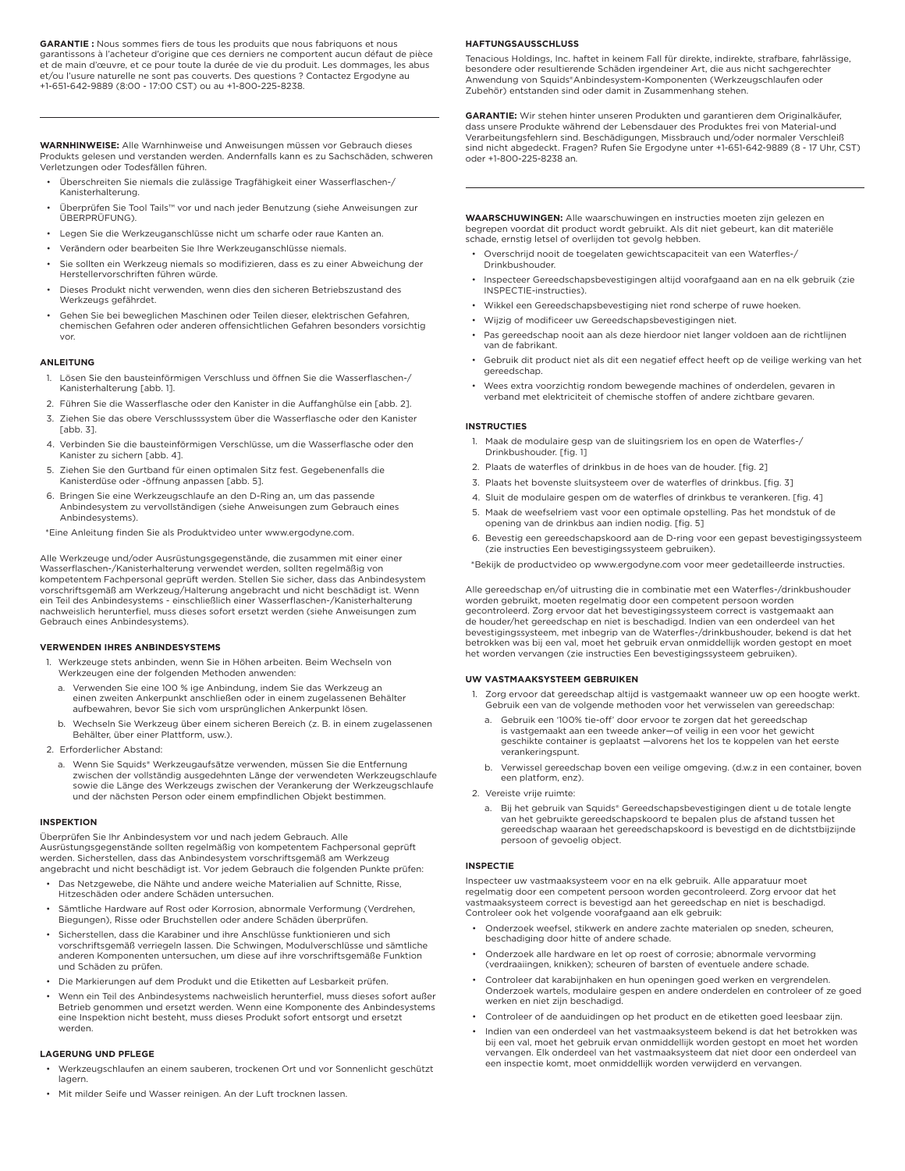**GARANTIE :** Nous sommes fiers de tous les produits que nous fabriquons et nous garantissons à l'acheteur d'origine que ces derniers ne comportent aucun défaut de pièce et de main d'œuvre, et ce pour toute la durée de vie du produit. Les dommages, les abus et/ou l'usure naturelle ne sont pas couverts. Des questions ? Contactez Ergodyne au +1-651-642-9889 (8:00 - 17:00 CST) ou au +1-800-225-8238.

**WARNHINWEISE:** Alle Warnhinweise und Anweisungen müssen vor Gebrauch dieses Produkts gelesen und verstanden werden. Andernfalls kann es zu Sachschäden, schweren Verletzungen oder Todesfällen führen.

- Überschreiten Sie niemals die zulässige Tragfähigkeit einer Wasserflaschen-/ Kanisterhalterung.
- Überprüfen Sie Tool Tails™ vor und nach jeder Benutzung (siehe Anweisungen zur ÜBERPRÜFUNG).
- Legen Sie die Werkzeuganschlüsse nicht um scharfe oder raue Kanten an.
- Verändern oder bearbeiten Sie Ihre Werkzeuganschlüsse niemals.
- Sie sollten ein Werkzeug niemals so modifizieren, dass es zu einer Abweichung der Herstellervorschriften führen würde.
- Dieses Produkt nicht verwenden, wenn dies den sicheren Betriebszustand des Werkzeugs gefährdet.
- Gehen Sie bei beweglichen Maschinen oder Teilen dieser, elektrischen Gefahren, chemischen Gefahren oder anderen offensichtlichen Gefahren besonders vorsichtig vor.

## **ANLEITUNG**

- 1. Lösen Sie den bausteinförmigen Verschluss und öffnen Sie die Wasserflaschen-/ Kanisterhalterung [abb. 1].
- 2. Führen Sie die Wasserflasche oder den Kanister in die Auffanghülse ein [abb. 2].
- 3. Ziehen Sie das obere Verschlusssystem über die Wasserflasche oder den Kanister [abb. 3].
- 4. Verbinden Sie die bausteinförmigen Verschlüsse, um die Wasserflasche oder den Kanister zu sichern [abb. 4].
- 5. Ziehen Sie den Gurtband für einen optimalen Sitz fest. Gegebenenfalls die Kanisterdüse oder -öffnung anpassen [abb. 5].
- 6. Bringen Sie eine Werkzeugschlaufe an den D-Ring an, um das passende Anbindesystem zu vervollständigen (siehe Anweisungen zum Gebrauch eines Anbindesystems).
- \*Eine Anleitung finden Sie als Produktvideo unter www.ergodyne.com.

Alle Werkzeuge und/oder Ausrüstungsgegenstände, die zusammen mit einer einer Wasserflaschen-/Kanisterhalterung verwendet werden, sollten regelmäßig von kompetentem Fachpersonal geprüft werden. Stellen Sie sicher, dass das Anbindesystem vorschriftsgemäß am Werkzeug/Halterung angebracht und nicht beschädigt ist. Wenn ein Teil des Anbindesystems - einschließlich einer Wasserflaschen-/Kanisterhalterung nachweislich herunterfiel, muss dieses sofort ersetzt werden (siehe Anweisungen zum Gebrauch eines Anbindesystems).

#### **VERWENDEN IHRES ANBINDESYSTEMS**

- 1. Werkzeuge stets anbinden, wenn Sie in Höhen arbeiten. Beim Wechseln von Werkzeugen eine der folgenden Methoden anwenden:
	- a. Verwenden Sie eine 100 % ige Anbindung, indem Sie das Werkzeug an einen zweiten Ankerpunkt anschließen oder in einem zugelassenen Behälter aufbewahren, bevor Sie sich vom ursprünglichen Ankerpunkt lösen.
	- b. Wechseln Sie Werkzeug über einem sicheren Bereich (z. B. in einem zugelassenen Behälter, über einer Plattform, usw.).
- 2. Erforderlicher Abstand:
	- a. Wenn Sie Squids® Werkzeugaufsätze verwenden, müssen Sie die Entfernung zwischen der vollständig ausgedehnten Länge der verwendeten Werkzeugschlaufe sowie die Länge des Werkzeugs zwischen der Verankerung der Werkzeugschlaufe und der nächsten Person oder einem empfindlichen Objekt bestimmen.

#### **INSPEKTION**

Überprüfen Sie Ihr Anbindesystem vor und nach jedem Gebrauch. Alle Ausrüstungsgegenstände sollten regelmäßig von kompetentem Fachpersonal geprüft werden. Sicherstellen, dass das Anbindesystem vorschriftsgemäß am Werkzeug angebracht und nicht beschädigt ist. Vor jedem Gebrauch die folgenden Punkte prüfen:

- Das Netzgewebe, die Nähte und andere weiche Materialien auf Schnitte, Risse, Hitzeschäden oder andere Schäden untersuchen.
- Sämtliche Hardware auf Rost oder Korrosion, abnormale Verformung (Verdrehen, Biegungen), Risse oder Bruchstellen oder andere Schäden überprüfen.
- Sicherstellen, dass die Karabiner und ihre Anschlüsse funktionieren und sich vorschriftsgemäß verriegeln lassen. Die Schwingen, Modulverschlüsse und sämtliche anderen Komponenten untersuchen, um diese auf ihre vorschriftsgemäße Funktion und Schäden zu prüfen.
- Die Markierungen auf dem Produkt und die Etiketten auf Lesbarkeit prüfen.
- Wenn ein Teil des Anbindesystems nachweislich herunterfiel, muss dieses sofort außer Betrieb genommen und ersetzt werden. Wenn eine Komponente des Anbindesystems eine Inspektion nicht besteht, muss dieses Produkt sofort entsorgt und ersetzt werden.

#### **LAGERUNG UND PFLEGE**

- Werkzeugschlaufen an einem sauberen, trockenen Ort und vor Sonnenlicht geschützt lagern.
- Mit milder Seife und Wasser reinigen. An der Luft trocknen lassen.

#### **HAFTUNGSAUSSCHLUSS**

Tenacious Holdings, Inc. haftet in keinem Fall für direkte, indirekte, strafbare, fahrlässige, besondere oder resultierende Schäden irgendeiner Art, die aus nicht sachgerechter Anwendung von Squids®Anbindesystem-Komponenten (Werkzeugschlaufen oder Zubehör) entstanden sind oder damit in Zusammenhang stehen.

**GARANTIE:** Wir stehen hinter unseren Produkten und garantieren dem Originalkäufer, dass unsere Produkte während der Lebensdauer des Produktes frei von Material-und Verarbeitungsfehlern sind. Beschädigungen, Missbrauch und/oder normaler Verschleiß sind nicht abgedeckt. Fragen? Rufen Sie Ergodyne unter +1-651-642-9889 (8 - 17 Uhr, CST) oder +1-800-225-8238 an.

**WAARSCHUWINGEN:** Alle waarschuwingen en instructies moeten zijn gelezen en begrepen voordat dit product wordt gebruikt. Als dit niet gebeurt, kan dit materiële schade, ernstig letsel of overlijden tot gevolg hebben.

- Overschrijd nooit de toegelaten gewichtscapaciteit van een Waterfles-/ **Drinkbushouder**
- Inspecteer Gereedschapsbevestigingen altijd voorafgaand aan en na elk gebruik (zie INSPECTIE-instructies).
- Wikkel een Gereedschapsbevestiging niet rond scherpe of ruwe hoeken.
- Wijzig of modificeer uw Gereedschapsbevestigingen niet.
- Pas gereedschap nooit aan als deze hierdoor niet langer voldoen aan de richtlijnen van de fabrikant.
- Gebruik dit product niet als dit een negatief effect heeft op de veilige werking van het gereedschap.
- Wees extra voorzichtig rondom bewegende machines of onderdelen, gevaren in verband met elektriciteit of chemische stoffen of andere zichtbare gevaren.

#### **INSTRUCTIES**

- 1. Maak de modulaire gesp van de sluitingsriem los en open de Waterfles-/ Drinkbushouder. [fig. 1]
- 2. Plaats de waterfles of drinkbus in de hoes van de houder. [fig. 2]
- 3. Plaats het bovenste sluitsysteem over de waterfles of drinkbus. [fig. 3]
- 4. Sluit de modulaire gespen om de waterfles of drinkbus te verankeren. [fig. 4]
- 5. Maak de weefselriem vast voor een optimale opstelling. Pas het mondstuk of de opening van de drinkbus aan indien nodig. [fig. 5]
- 6. Bevestig een gereedschapskoord aan de D-ring voor een gepast bevestigingssysteem (zie instructies Een bevestigingssysteem gebruiken).

\*Bekijk de productvideo op www.ergodyne.com voor meer gedetailleerde instructies.

Alle gereedschap en/of uitrusting die in combinatie met een Waterfles-/drinkbushouder worden gebruikt, moeten regelmatig door een competent persoon worden gecontroleerd. Zorg ervoor dat het bevestigingssysteem correct is vastgemaakt aan de houder/het gereedschap en niet is beschadigd. Indien van een onderdeel van het bevestigingssysteem, met inbegrip van de Waterfles-/drinkbushouder, bekend is dat het betrokken was bij een val, moet het gebruik ervan onmiddellijk worden gestopt en moet het worden vervangen (zie instructies Een bevestigingssysteem gebruiken).

#### **UW VASTMAAKSYSTEEM GEBRUIKEN**

- 1. Zorg ervoor dat gereedschap altijd is vastgemaakt wanneer uw op een hoogte werkt. Gebruik een van de volgende methoden voor het verwisselen van gereedschap:
	- a. Gebruik een '100% tie-off' door ervoor te zorgen dat het gereedschap is vastgemaakt aan een tweede anker—of veilig in een voor het gewicht geschikte container is geplaatst —alvorens het los te koppelen van het eerste verankeringspunt.
	- b. Verwissel gereedschap boven een veilige omgeving. (d.w.z in een container, boven een platform, enz).
- 2. Vereiste vrije ruimte:
	- a. Bij het gebruik van Squids® Gereedschapsbevestigingen dient u de totale lengte van het gebruikte gereedschapskoord te bepalen plus de afstand tussen het gereedschap waaraan het gereedschapskoord is bevestigd en de dichtstbijzijnde persoon of gevoelig object.

#### **INSPECTIE**

Inspecteer uw vastmaaksysteem voor en na elk gebruik. Alle apparatuur moet regelmatig door een competent persoon worden gecontroleerd. Zorg ervoor dat het vastmaaksysteem correct is bevestigd aan het gereedschap en niet is beschadigd. Controleer ook het volgende voorafgaand aan elk gebruik:

- Onderzoek weefsel, stikwerk en andere zachte materialen op sneden, scheuren, beschadiging door hitte of andere schade.
- Onderzoek alle hardware en let op roest of corrosie; abnormale vervorming (verdraaiingen, knikken); scheuren of barsten of eventuele andere schade.
- Controleer dat karabijnhaken en hun openingen goed werken en vergrendelen. Onderzoek wartels, modulaire gespen en andere onderdelen en controleer of ze goed werken en niet zijn beschadigd.
- Controleer of de aanduidingen op het product en de etiketten goed leesbaar zijn.
- Indien van een onderdeel van het vastmaaksysteem bekend is dat het betrokken was bij een val, moet het gebruik ervan onmiddellijk worden gestopt en moet het worden vervangen. Elk onderdeel van het vastmaaksysteem dat niet door een onderdeel van een inspectie komt, moet onmiddellijk worden verwijderd en vervangen.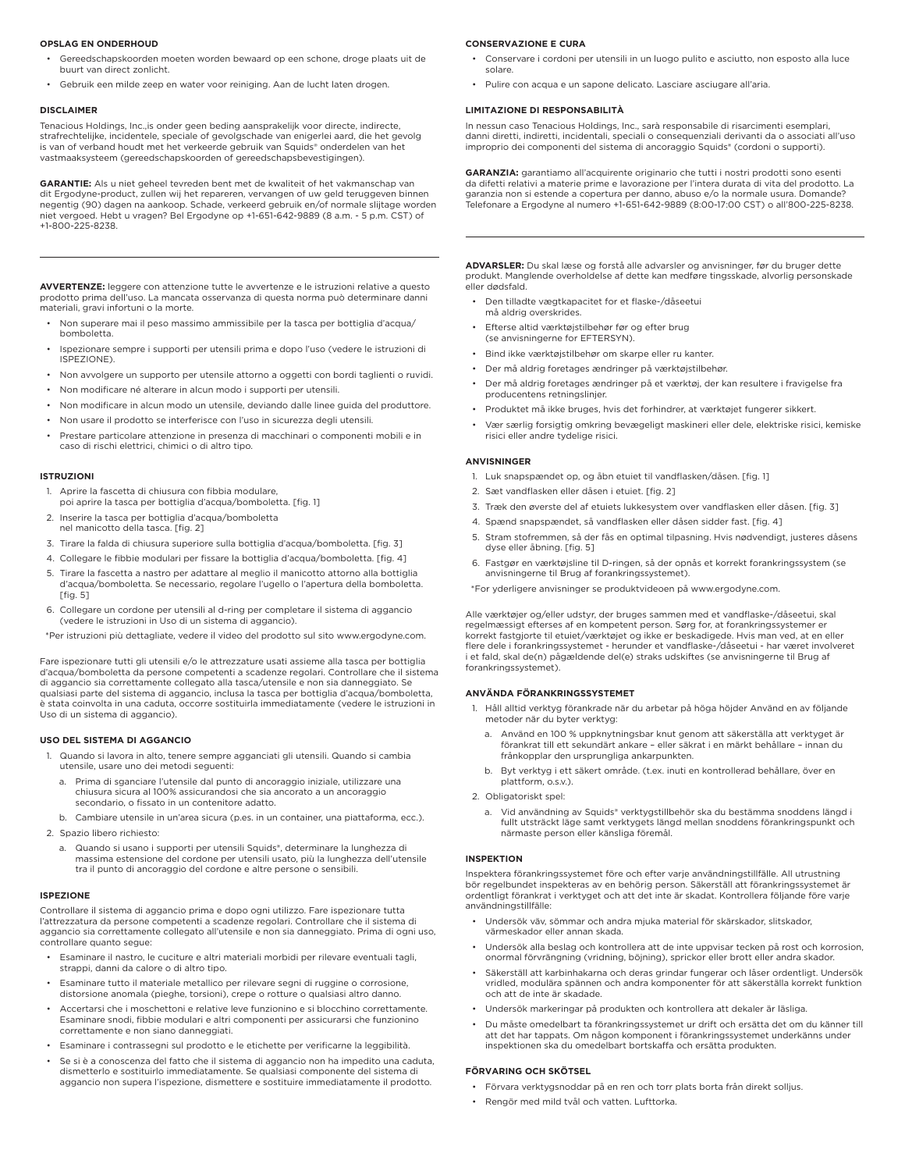#### **OPSLAG EN ONDERHOUD**

- Gereedschapskoorden moeten worden bewaard op een schone, droge plaats uit de buurt van direct zonlicht.
- Gebruik een milde zeep en water voor reiniging. Aan de lucht laten drogen.

#### **DISCLAIMER**

Tenacious Holdings, Inc.,is onder geen beding aansprakelijk voor directe, indirecte, strafrechtelijke, incidentele, speciale of gevolgschade van enigerlei aard, die het gevolg is van of verband houdt met het verkeerde gebruik van Squids® onderdelen van het vastmaaksysteem (gereedschapskoorden of gereedschapsbevestigingen).

**GARANTIE:** Als u niet geheel tevreden bent met de kwaliteit of het vakmanschap van dit Ergodyne-product, zullen wij het repareren, vervangen of uw geld teruggeven binnen negentig (90) dagen na aankoop. Schade, verkeerd gebruik en/of normale slijtage worden niet vergoed. Hebt u vragen? Bel Ergodyne op +1-651-642-9889 (8 a.m. - 5 p.m. CST) of +1-800-225-8238.

**AVVERTENZE:** leggere con attenzione tutte le avvertenze e le istruzioni relative a questo prodotto prima dell'uso. La mancata osservanza di questa norma può determinare danni materiali, gravi infortuni o la morte.

- Non superare mai il peso massimo ammissibile per la tasca per bottiglia d'acqua/ bomboletta.
- Ispezionare sempre i supporti per utensili prima e dopo l'uso (vedere le istruzioni di ISPEZIONE).
- Non avvolgere un supporto per utensile attorno a oggetti con bordi taglienti o ruvidi.
- Non modificare né alterare in alcun modo i supporti per utensili.
- Non modificare in alcun modo un utensile, deviando dalle linee guida del produttore.
- Non usare il prodotto se interferisce con l'uso in sicurezza degli utensili.
- Prestare particolare attenzione in presenza di macchinari o componenti mobili e in caso di rischi elettrici, chimici o di altro tipo.

#### **ISTRUZIONI**

- 1. Aprire la fascetta di chiusura con fibbia modulare,
- poi aprire la tasca per bottiglia d'acqua/bomboletta. [fig. 1] 2. Inserire la tasca per bottiglia d'acqua/bomboletta
- nel manicotto della tasca. [fig. 2]
- 3. Tirare la falda di chiusura superiore sulla bottiglia d'acqua/bomboletta. [fig. 3]
- 4. Collegare le fibbie modulari per fissare la bottiglia d'acqua/bomboletta. [fig. 4]
- 5. Tirare la fascetta a nastro per adattare al meglio il manicotto attorno alla bottiglia d'acqua/bomboletta. Se necessario, regolare l'ugello o l'apertura della bomboletta.  $[$ fig.  $5]$
- 6. Collegare un cordone per utensili al d-ring per completare il sistema di aggancio (vedere le istruzioni in Uso di un sistema di aggancio).
- \*Per istruzioni più dettagliate, vedere il video del prodotto sul sito www.ergodyne.com.

Fare ispezionare tutti gli utensili e/o le attrezzature usati assieme alla tasca per bottiglia d'acqua/bomboletta da persone competenti a scadenze regolari. Controllare che il sistema di aggancio sia correttamente collegato alla tasca/utensile e non sia danneggiato. Se qualsiasi parte del sistema di aggancio, inclusa la tasca per bottiglia d'acqua/bomboletta, è stata coinvolta in una caduta, occorre sostituirla immediatamente (vedere le istruzioni in Uso di un sistema di aggancio).

## **USO DEL SISTEMA DI AGGANCIO**

- 1. Quando si lavora in alto, tenere sempre agganciati gli utensili. Quando si cambia utensile, usare uno dei metodi seguenti:
	- a. Prima di sganciare l'utensile dal punto di ancoraggio iniziale, utilizzare una chiusura sicura al 100% assicurandosi che sia ancorato a un ancoraggio secondario, o fissato in un contenitore adatto.
- b. Cambiare utensile in un'area sicura (p.es. in un container, una piattaforma, ecc.). 2. Spazio libero richiesto:
	- a. Quando si usano i supporti per utensili Squids®, determinare la lunghezza di massima estensione del cordone per utensili usato, più la lunghezza dell'utensile tra il punto di ancoraggio del cordone e altre persone o sensibili.

#### **ISPEZIONE**

Controllare il sistema di aggancio prima e dopo ogni utilizzo. Fare ispezionare tutta l'attrezzatura da persone competenti a scadenze regolari. Controllare che il sistema di aggancio sia correttamente collegato all'utensile e non sia danneggiato. Prima di ogni uso, controllare quanto segue:

- Esaminare il nastro, le cuciture e altri materiali morbidi per rilevare eventuali tagli, strappi, danni da calore o di altro tipo.
- Esaminare tutto il materiale metallico per rilevare segni di ruggine o corrosione, distorsione anomala (pieghe, torsioni), crepe o rotture o qualsiasi altro danno.
- Accertarsi che i moschettoni e relative leve funzionino e si blocchino correttamente. Esaminare snodi, fibbie modulari e altri componenti per assicurarsi che funzionino correttamente e non siano danneggiati.
- Esaminare i contrassegni sul prodotto e le etichette per verificarne la leggibilità.
- Se si è a conoscenza del fatto che il sistema di aggancio non ha impedito una caduta, dismetterlo e sostituirlo immediatamente. Se qualsiasi componente del sistema di aggancio non supera l'ispezione, dismettere e sostituire immediatamente il prodotto.

#### **CONSERVAZIONE E CURA**

- Conservare i cordoni per utensili in un luogo pulito e asciutto, non esposto alla luce solare.
- Pulire con acqua e un sapone delicato. Lasciare asciugare all'aria.

## **LIMITAZIONE DI RESPONSABILITÀ**

In nessun caso Tenacious Holdings, Inc., sarà responsabile di risarcimenti esemplari, danni diretti, indiretti, incidentali, speciali o consequenziali derivanti da o associati all'uso improprio dei componenti del sistema di ancoraggio Squids® (cordoni o supporti).

**GARANZIA:** garantiamo all'acquirente originario che tutti i nostri prodotti sono esenti da difetti relativi a materie prime e lavorazione per l'intera durata di vita del prodotto. La garanzia non si estende a copertura per danno, abuso e/o la normale usura. Domande? Telefonare a Ergodyne al numero +1-651-642-9889 (8:00-17:00 CST) o all'800-225-8238.

**ADVARSLER:** Du skal læse og forstå alle advarsler og anvisninger, før du bruger dette produkt. Manglende overholdelse af dette kan medføre tingsskade, alvorlig personskade eller dødsfald.

- Den tilladte vægtkapacitet for et flaske-/dåseetui må aldrig overskrides.
- Efterse altid værktøjstilbehør før og efter brug (se anvisningerne for EFTERSYN).
- Bind ikke værktøjstilbehør om skarpe eller ru kanter.
- Der må aldrig foretages ændringer på værktøjstilbehør.
- Der må aldrig foretages ændringer på et værktøj, der kan resultere i fravigelse fra producentens retningslinjer.
- Produktet må ikke bruges, hvis det forhindrer, at værktøjet fungerer sikkert.
- Vær særlig forsigtig omkring bevægeligt maskineri eller dele, elektriske risici, kemiske risici eller andre tydelige risici.

## **ANVISNINGER**

- 1. Luk snapspændet op, og åbn etuiet til vandflasken/dåsen. [fig. 1]
- 2. Sæt vandflasken eller dåsen i etuiet. [fig. 2]
- 3. Træk den øverste del af etuiets lukkesystem over vandflasken eller dåsen. [fig. 3]
- 4. Spænd snapspændet, så vandflasken eller dåsen sidder fast. [fig. 4]
- 5. Stram stofremmen, så der fås en optimal tilpasning. Hvis nødvendigt, justeres dåsens dyse eller åbning. [fig. 5]
- 6. Fastgør en værktøjsline til D-ringen, så der opnås et korrekt forankringssystem (se anvisningerne til Brug af forankringssystemet).

\*For yderligere anvisninger se produktvideoen på www.ergodyne.com.

Alle værktøjer og/eller udstyr, der bruges sammen med et vandflaske-/dåseetui, skal regelmæssigt efterses af en kompetent person. Sørg for, at forankringssystemer er korrekt fastgjorte til etuiet/værktøjet og ikke er beskadigede. Hvis man ved, at en eller flere dele i forankringssystemet - herunder et vandflaske-/dåseetui - har været involveret i et fald, skal de(n) pågældende del(e) straks udskiftes (se anvisningerne til Brug af forankringssystemet).

#### **ANVÄNDA FÖRANKRINGSSYSTEMET**

- 1. Håll alltid verktyg förankrade när du arbetar på höga höjder Använd en av följande metoder när du byter verktyg:
	- a. Använd en 100 % uppknytningsbar knut genom att säkerställa att verktyget är förankrat till ett sekundärt ankare – eller säkrat i en märkt behållare – innan du frånkopplar den ursprungliga ankarpunkten.
	- b. Byt verktyg i ett säkert område. (t.ex. inuti en kontrollerad behållare, över en plattform, o.s.v.).

2. Obligatoriskt spel:

a. Vid användning av Squids® verktygstillbehör ska du bestämma snoddens längd i fullt utsträckt läge samt verktygets längd mellan snoddens förankringspunkt och närmaste person eller känsliga föremål.

#### **INSPEKTION**

Inspektera förankringssystemet före och efter varje användningstillfälle. All utrustning bör regelbundet inspekteras av en behörig person. Säkerställ att förankringssystemet är ordentligt förankrat i verktyget och att det inte är skadat. Kontrollera följande före varje användningstillfälle:

- Undersök väv, sömmar och andra mjuka material för skärskador, slitskador, värmeskador eller annan skada.
- Undersök alla beslag och kontrollera att de inte uppvisar tecken på rost och korrosion, onormal förvrängning (vridning, böjning), sprickor eller brott eller andra skador.
- Säkerställ att karbinhakarna och deras grindar fungerar och låser ordentligt. Undersök vridled, modulära spännen och andra komponenter för att säkerställa korrekt funktion och att de inte är skadade.
- Undersök markeringar på produkten och kontrollera att dekaler är läsliga.
- Du måste omedelbart ta förankringssystemet ur drift och ersätta det om du känner till att det har tappats. Om någon komponent i förankringssystemet underkänns under inspektionen ska du omedelbart bortskaffa och ersätta produkten.

#### **FÖRVARING OCH SKÖTSEL**

- Förvara verktygsnoddar på en ren och torr plats borta från direkt solljus.
- Rengör med mild tvål och vatten. Lufttorka.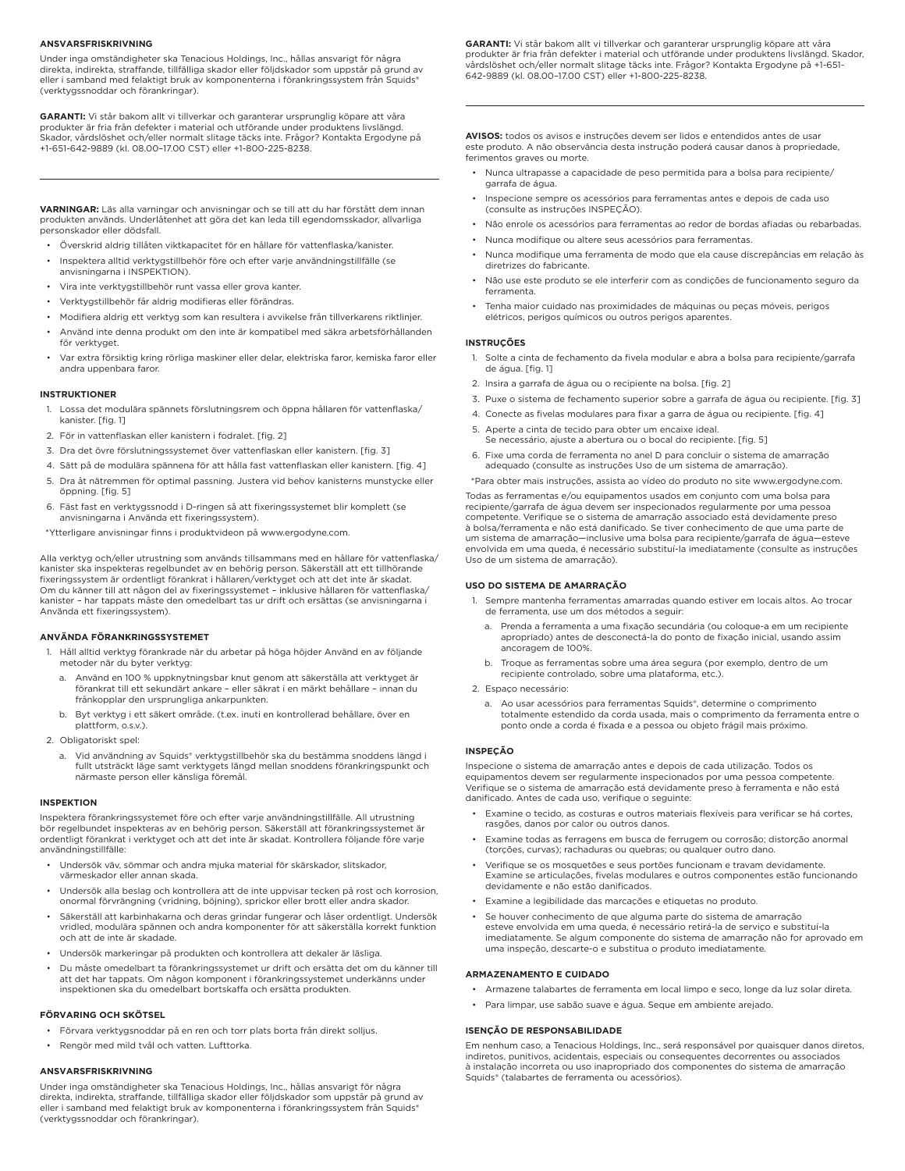## **ANSVARSFRISKRIVNING**

Under inga omständigheter ska Tenacious Holdings, Inc., hållas ansvarigt för några direkta, indirekta, straffande, tillfälliga skador eller följdskador som uppstår på grund av eller i samband med felaktigt bruk av komponenterna i förankringssystem från Squids® (verktygssnoddar och förankringar).

**GARANTI:** Vi står bakom allt vi tillverkar och garanterar ursprunglig köpare att våra produkter är fria från defekter i material och utförande under produktens livslängd.<br>Skador, vårdslöshet och/eller normalt slitage täcks inte. Frågor? Kontakta Ergodyne på +1-651-642-9889 (kl. 08.00–17.00 CST) eller +1-800-225-8238.

**VARNINGAR:** Läs alla varningar och anvisningar och se till att du har förstått dem innan produkten används. Underlåtenhet att göra det kan leda till egendomsskador, allvarliga personskador eller dödsfall.

- Överskrid aldrig tillåten viktkapacitet för en hållare för vattenflaska/kanister.
- Inspektera alltid verktygstillbehör före och efter varje användningstillfälle (se anvisningarna i INSPEKTION).
- Vira inte verktygstillbehör runt vassa eller grova kanter.
- Verktygstillbehör får aldrig modifieras eller förändras.
- Modifiera aldrig ett verktyg som kan resultera i avvikelse från tillverkarens riktlinjer.
- Använd inte denna produkt om den inte är kompatibel med säkra arbetsförhållanden för verktyget.
- Var extra försiktig kring rörliga maskiner eller delar, elektriska faror, kemiska faror eller andra uppenbara faror.

#### **INSTRUKTIONER**

- 1. Lossa det modulära spännets förslutningsrem och öppna hållaren för vattenflaska/ kanister. [fig. 1]
- 2. För in vattenflaskan eller kanistern i fodralet. [fig. 2]
- 3. Dra det övre förslutningssystemet över vattenflaskan eller kanistern. [fig. 3]
- 4. Sätt på de modulära spännena för att hålla fast vattenflaskan eller kanistern. [fig. 4]
- 5. Dra åt nätremmen för optimal passning. Justera vid behov kanisterns munstycke eller öppning. [fig. 5]
- 6. Fäst fast en verktygssnodd i D-ringen så att fixeringssystemet blir komplett (se anvisningarna i Använda ett fixeringssystem).
- \*Ytterligare anvisningar finns i produktvideon på www.ergodyne.com.

Alla verktyg och/eller utrustning som används tillsammans med en hållare för vattenflaska/ kanister ska inspekteras regelbundet av en behörig person. Säkerställ att ett tillhörande fixeringssystem är ordentligt förankrat i hållaren/verktyget och att det inte är skadat. Om du känner till att någon del av fixeringssystemet – inklusive hållaren för vattenflaska/ kanister – har tappats måste den omedelbart tas ur drift och ersättas (se anvisningarna i Använda ett fixeringssystem).

## **ANVÄNDA FÖRANKRINGSSYSTEMET**

- 1. Håll alltid verktyg förankrade när du arbetar på höga höjder Använd en av följande metoder när du byter verktyg:
	- Använd en 100 % uppknytningsbar knut genom att säkerställa att verktyget är förankrat till ett sekundärt ankare – eller säkrat i en märkt behållare – innan du frånkopplar den ursprungliga ankarpunkten.
	- b. Byt verktyg i ett säkert område. (t.ex. inuti en kontrollerad behållare, över en plattform, o.s.v.).
- 2. Obligatoriskt spel:
	- a. Vid användning av Squids® verktygstillbehör ska du bestämma snoddens längd i fullt utsträckt läge samt verktygets längd mellan snoddens förankringspunkt och närmaste person eller känsliga föremål.

## **INSPEKTION**

Inspektera förankringssystemet före och efter varje användningstillfälle. All utrustning bör regelbundet inspekteras av en behörig person. Säkerställ att förankringssystemet är ordentligt förankrat i verktyget och att det inte är skadat. Kontrollera följande före varje användningstillfälle:

- Undersök väv, sömmar och andra mjuka material för skärskador, slitskador, värmeskador eller annan skada.
- Undersök alla beslag och kontrollera att de inte uppvisar tecken på rost och korrosion, onormal förvrängning (vridning, böjning), sprickor eller brott eller andra skador.
- Säkerställ att karbinhakarna och deras grindar fungerar och låser ordentligt. Undersök vridled, modulära spännen och andra komponenter för att säkerställa korrekt funktion och att de inte är skadade.
- Undersök markeringar på produkten och kontrollera att dekaler är läsliga.
- Du måste omedelbart ta förankringssystemet ur drift och ersätta det om du känner till att det har tappats. Om någon komponent i förankringssystemet underkänns under inspektionen ska du omedelbart bortskaffa och ersätta produkten.

# **FÖRVARING OCH SKÖTSEL**

- Förvara verktygsnoddar på en ren och torr plats borta från direkt solljus.
- Rengör med mild tvål och vatten. Lufttorka.

#### **ANSVARSFRISKRIVNING**

Under inga omständigheter ska Tenacious Holdings, Inc., hållas ansvarigt för några direkta, indirekta, straffande, tillfälliga skador eller följdskador som uppstår på grund av eller i samband med felaktigt bruk av komponenterna i förankringssystem från Squids® (verktygssnoddar och förankringar).

**GARANTI:** Vi står bakom allt vi tillverkar och garanterar ursprunglig köpare att våra produkter är fria från defekter i material och utförande under produktens livslängd. Skador, vårdslöshet och/eller normalt slitage täcks inte. Frågor? Kontakta Ergodyne på +1-651- 642-9889 (kl. 08.00–17.00 CST) eller +1-800-225-8238.

**AVISOS:** todos os avisos e instruções devem ser lidos e entendidos antes de usar este produto. A não observância desta instrução poderá causar danos à propriedade, ferimentos graves ou morte.

- Nunca ultrapasse a capacidade de peso permitida para a bolsa para recipiente/ garrafa de água.
- Inspecione sempre os acessórios para ferramentas antes e depois de cada uso (consulte as instruções INSPEÇÃO).
- Não enrole os acessórios para ferramentas ao redor de bordas afiadas ou rebarbadas.
- Nunca modifique ou altere seus acessórios para ferramentas.
- Nunca modifique uma ferramenta de modo que ela cause discrepâncias em relação às diretrizes do fabricante.
- Não use este produto se ele interferir com as condições de funcionamento seguro da ferramenta.
- Tenha maior cuidado nas proximidades de máquinas ou peças móveis, perigos elétricos, perigos químicos ou outros perigos aparentes.

## **INSTRUÇÕES**

- 1. Solte a cinta de fechamento da fivela modular e abra a bolsa para recipiente/garrafa de água. [fig. 1]
- 2. Insira a garrafa de água ou o recipiente na bolsa. [fig. 2]
- 3. Puxe o sistema de fechamento superior sobre a garrafa de água ou recipiente. [fig. 3]
- 4. Conecte as fivelas modulares para fixar a garra de água ou recipiente. [fig. 4]
- 5. Aperte a cinta de tecido para obter um encaixe ideal. Se necessário, ajuste a abertura ou o bocal do recipiente. [fig. 5]
- 6. Fixe uma corda de ferramenta no anel D para concluir o sistema de amarração adequado (consulte as instruções Uso de um sistema de amarração).

\*Para obter mais instruções, assista ao vídeo do produto no site www.ergodyne.com. Todas as ferramentas e/ou equipamentos usados em conjunto com uma bolsa para recipiente/garrafa de água devem ser inspecionados regularmente por uma pessoa competente. Verifique se o sistema de amarração associado está devidamente preso à bolsa/ferramenta e não está danificado. Se tiver conhecimento de que uma parte de um sistema de amarração—inclusive uma bolsa para recipiente/garrafa de água—esteve envolvida em uma queda, é necessário substituí-la imediatamente (consulte as instruções Uso de um sistema de amarração).

## **USO DO SISTEMA DE AMARRAÇÃO**

- 1. Sempre mantenha ferramentas amarradas quando estiver em locais altos. Ao trocar de ferramenta, use um dos métodos a seguir:
	- a. Prenda a ferramenta a uma fixação secundária (ou coloque-a em um recipiente apropriado) antes de desconectá-la do ponto de fixação inicial, usando assim ancoragem de 100%.
	- b. Troque as ferramentas sobre uma área segura (por exemplo, dentro de um recipiente controlado, sobre uma plataforma, etc.).
- 2. Espaço necessário:
	- a. Ao usar acessórios para ferramentas Squids®, determine o comprimento totalmente estendido da corda usada, mais o comprimento da ferramenta entre o ponto onde a corda é fixada e a pessoa ou objeto frágil mais próximo.

#### **INSPEÇÃO**

Inspecione o sistema de amarração antes e depois de cada utilização. Todos os equipamentos devem ser regularmente inspecionados por uma pessoa competente. Verifique se o sistema de amarração está devidamente preso à ferramenta e não está danificado. Antes de cada uso, verifique o seguinte:

- Examine o tecido, as costuras e outros materiais flexíveis para verificar se há cortes, rasgões, danos por calor ou outros danos.
- Examine todas as ferragens em busca de ferrugem ou corrosão; distorção anormal (torções, curvas); rachaduras ou quebras; ou qualquer outro dano.
- Verifique se os mosquetões e seus portões funcionam e travam devidamente. Examine se articulações, fivelas modulares e outros componentes estão funcionando devidamente e não estão danificados.
- Examine a legibilidade das marcações e etiquetas no produto.
- Se houver conhecimento de que alguma parte do sistema de amarração esteve envolvida em uma queda, é necessário retirá-la de serviço e substituí-la imediatamente. Se algum componente do sistema de amarração não for aprovado em uma inspeção, descarte-o e substitua o produto imediatamente.

## **ARMAZENAMENTO E CUIDADO**

- Armazene talabartes de ferramenta em local limpo e seco, longe da luz solar direta.
- Para limpar, use sabão suave e água. Seque em ambiente arejado.

## **ISENÇÃO DE RESPONSABILIDADE**

Em nenhum caso, a Tenacious Holdings, Inc., será responsável por quaisquer danos diretos, indiretos, punitivos, acidentais, especiais ou consequentes decorrentes ou associados à instalação incorreta ou uso inapropriado dos componentes do sistema de amarração Squids® (talabartes de ferramenta ou acessórios).